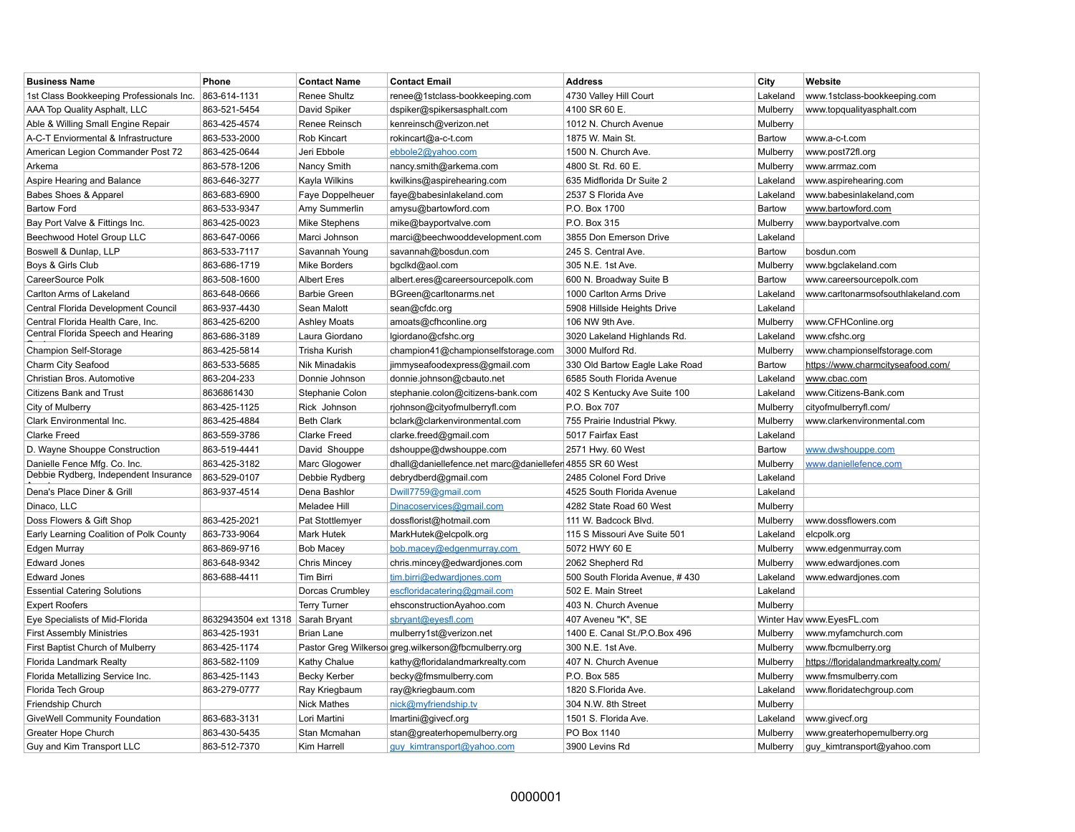| <b>Business Name</b>                     | Phone               | <b>Contact Name</b>   | <b>Contact Email</b>                                     | <b>Address</b>                 | City     | Website                            |
|------------------------------------------|---------------------|-----------------------|----------------------------------------------------------|--------------------------------|----------|------------------------------------|
| 1st Class Bookkeeping Professionals Inc. | 863-614-1131        | Renee Shultz          | renee@1stclass-bookkeeping.com                           | 4730 Valley Hill Court         | Lakeland | www.1stclass-bookkeeping.com       |
| AAA Top Quality Asphalt, LLC             | 863-521-5454        | David Spiker          | dspiker@spikersasphalt.com                               | 4100 SR 60 E.                  | Mulberry | www.topqualityasphalt.com          |
| Able & Willing Small Engine Repair       | 863-425-4574        | Renee Reinsch         | kenreinsch@verizon.net                                   | 1012 N. Church Avenue          | Mulberry |                                    |
| A-C-T Enviormental & Infrastructure      | 863-533-2000        | Rob Kincart           | rokincart@a-c-t.com                                      | 1875 W. Main St.               | Bartow   | www.a-c-t.com                      |
| American Legion Commander Post 72        | 863-425-0644        | Jeri Ebbole           | ebbole2@yahoo.com                                        | 1500 N. Church Ave.            | Mulberry | www.post72fl.org                   |
| Arkema                                   | 863-578-1206        | Nancy Smith           | nancy.smith@arkema.com                                   | 4800 St. Rd. 60 E.             | Mulberry | www.arrmaz.com                     |
| Aspire Hearing and Balance               | 863-646-3277        | Kayla Wilkins         | kwilkins@aspirehearing.com                               | 635 Midflorida Dr Suite 2      | Lakeland | www.aspirehearing.com              |
| Babes Shoes & Apparel                    | 863-683-6900        | Faye Doppelheuer      | faye@babesinlakeland.com                                 | 2537 S Florida Ave             | Lakeland | www.babesinlakeland,com            |
| <b>Bartow Ford</b>                       | 863-533-9347        | Amy Summerlin         | amysu@bartowford.com                                     | P.O. Box 1700                  | Bartow   | www.bartowford.com                 |
| Bay Port Valve & Fittings Inc.           | 863-425-0023        | Mike Stephens         | mike@bayportvalve.com                                    | P.O. Box 315                   | Mulberry | www.bayportvalve.com               |
| Beechwood Hotel Group LLC                | 863-647-0066        | Marci Johnson         | marci@beechwooddevelopment.com                           | 3855 Don Emerson Drive         | Lakeland |                                    |
| Boswell & Dunlap, LLP                    | 863-533-7117        | Savannah Young        | savannah@bosdun.com                                      | 245 S. Central Ave.            | Bartow   | bosdun.com                         |
| Boys & Girls Club                        | 863-686-1719        | <b>Mike Borders</b>   | bgclkd@aol.com                                           | 305 N.E. 1st Ave.              | Mulberry | www.bgclakeland.com                |
| CareerSource Polk                        | 863-508-1600        | <b>Albert Eres</b>    | albert.eres@careersourcepolk.com                         | 600 N. Broadway Suite B        | Bartow   | www.careersourcepolk.com           |
| Carlton Arms of Lakeland                 | 863-648-0666        | <b>Barbie Green</b>   | BGreen@carltonarms.net                                   | 1000 Carlton Arms Drive        | Lakeland | www.carltonarmsofsouthlakeland.com |
| Central Florida Development Council      | 863-937-4430        | Sean Malott           | sean@cfdc.org                                            | 5908 Hillside Heights Drive    | Lakeland |                                    |
| Central Florida Health Care, Inc.        | 863-425-6200        | <b>Ashley Moats</b>   | amoats@cfhconline.org                                    | 106 NW 9th Ave.                | Mulberry | www.CFHConline.org                 |
| Central Florida Speech and Hearing       | 863-686-3189        | Laura Giordano        | lgiordano@cfshc.org                                      | 3020 Lakeland Highlands Rd.    | Lakeland | www.cfshc.org                      |
| Champion Self-Storage                    | 863-425-5814        | <b>Trisha Kurish</b>  | champion41@championselfstorage.com                       | 3000 Mulford Rd.               | Mulberry | www.championselfstorage.com        |
| Charm City Seafood                       | 863-533-5685        | <b>Nik Minadakis</b>  | jimmyseafoodexpress@gmail.com                            | 330 Old Bartow Eagle Lake Road | Bartow   | https://www.charmcityseafood.com/  |
| Christian Bros. Automotive               | 863-204-233         | Donnie Johnson        | donnie.johnson@cbauto.net                                | 6585 South Florida Avenue      | Lakeland | www.cbac.com                       |
| <b>Citizens Bank and Trust</b>           | 8636861430          | Stephanie Colon       | stephanie.colon@citizens-bank.com                        | 402 S Kentucky Ave Suite 100   | Lakeland | www.Citizens-Bank.com              |
| City of Mulberry                         | 863-425-1125        | Rick Johnson          | rjohnson@cityofmulberryfl.com                            | P.O. Box 707                   | Mulberry | cityofmulberryfl.com/              |
| Clark Environmental Inc.                 | 863-425-4884        | <b>Beth Clark</b>     | bclark@clarkenvironmental.com                            | 755 Prairie Industrial Pkwy.   | Mulberry | www.clarkenvironmental.com         |
| <b>Clarke Freed</b>                      | 863-559-3786        | <b>Clarke Freed</b>   | clarke.freed@gmail.com                                   | 5017 Fairfax East              | Lakeland |                                    |
| D. Wayne Shouppe Construction            | 863-519-4441        | David Shouppe         | dshouppe@dwshouppe.com                                   | 2571 Hwy. 60 West              | Bartow   | www.dwshouppe.com                  |
| Danielle Fence Mfg. Co. Inc.             | 863-425-3182        | Marc Glogower         | dhall@daniellefence.net marc@daniellefer 4855 SR 60 West |                                | Mulberry | www.daniellefence.com              |
| Debbie Rydberg, Independent Insurance    | 863-529-0107        | Debbie Rydberg        | debrydberd@gmail.com                                     | 2485 Colonel Ford Drive        | Lakeland |                                    |
| Dena's Place Diner & Grill               | 863-937-4514        | Dena Bashlor          | Dwill7759@gmail.com                                      | 4525 South Florida Avenue      | Lakeland |                                    |
| Dinaco, LLC                              |                     | Meladee Hill          | Dinacoservices@gmail.com                                 | 4282 State Road 60 West        | Mulberry |                                    |
| Doss Flowers & Gift Shop                 | 863-425-2021        | Pat Stottlemyer       | dossflorist@hotmail.com                                  | 111 W. Badcock Blvd.           | Mulberry | www.dossflowers.com                |
| Early Learning Coalition of Polk County  | 863-733-9064        | <b>Mark Hutek</b>     | MarkHutek@elcpolk.org                                    | 115 S Missouri Ave Suite 501   | Lakeland | elcpolk.org                        |
| Edgen Murray                             | 863-869-9716        | <b>Bob Macey</b>      | bob.macey@edgenmurray.com                                | 5072 HWY 60 E                  | Mulberry | www.edgenmurray.com                |
| <b>Edward Jones</b>                      | 863-648-9342        | <b>Chris Mincey</b>   | chris.mincey@edwardjones.com                             | 2062 Shepherd Rd               | Mulberry | www.edwardjones.com                |
| <b>Edward Jones</b>                      | 863-688-4411        | Tim Birri             | tim.birri@edwardjones.com                                | 500 South Florida Avenue, #430 | Lakeland | www.edwardjones.com                |
| <b>Essential Catering Solutions</b>      |                     | Dorcas Crumbley       | escfloridacatering@gmail.com                             | 502 E. Main Street             | Lakeland |                                    |
| <b>Expert Roofers</b>                    |                     | <b>Terry Turner</b>   | ehsconstructionAyahoo.com                                | 403 N. Church Avenue           | Mulberry |                                    |
| Eye Specialists of Mid-Florida           | 8632943504 ext 1318 | Sarah Bryant          | sbryant@eyesfl.com                                       | 407 Aveneu "K", SE             |          | Winter Hav www.EyesFL.com          |
| <b>First Assembly Ministries</b>         | 863-425-1931        | <b>Brian Lane</b>     | mulberry1st@verizon.net                                  | 1400 E. Canal St./P.O.Box 496  | Mulberry | www.myfamchurch.com                |
| First Baptist Church of Mulberry         | 863-425-1174        | Pastor Greg Wilkersor | greg.wilkerson@fbcmulberry.org                           | 300 N.E. 1st Ave.              | Mulberry | www.fbcmulberry.org                |
| Florida Landmark Realty                  | 863-582-1109        | Kathy Chalue          | kathy@floridalandmarkrealty.com                          | 407 N. Church Avenue           | Mulberry | https://floridalandmarkrealty.com/ |
| Florida Metallizing Service Inc.         | 863-425-1143        | <b>Becky Kerber</b>   | becky@fmsmulberry.com                                    | P.O. Box 585                   | Mulberry | www.fmsmulberry.com                |
| Florida Tech Group                       | 863-279-0777        | Ray Kriegbaum         | ray@kriegbaum.com                                        | 1820 S.Florida Ave.            | Lakeland | www.floridatechgroup.com           |
| Friendship Church                        |                     | <b>Nick Mathes</b>    | nick@myfriendship.tv                                     | 304 N.W. 8th Street            | Mulberry |                                    |
| GiveWell Community Foundation            | 863-683-3131        | Lori Martini          | Imartini@givecf.org                                      | 1501 S. Florida Ave.           | Lakeland | www.givecf.org                     |
| Greater Hope Church                      | 863-430-5435        | Stan Mcmahan          | stan@greaterhopemulberry.org                             | PO Box 1140                    | Mulberry | www.greaterhopemulberry.org        |
| Guy and Kim Transport LLC                | 863-512-7370        | Kim Harrell           | guy kimtransport@yahoo.com                               | 3900 Levins Rd                 | Mulberry | guy kimtransport@yahoo.com         |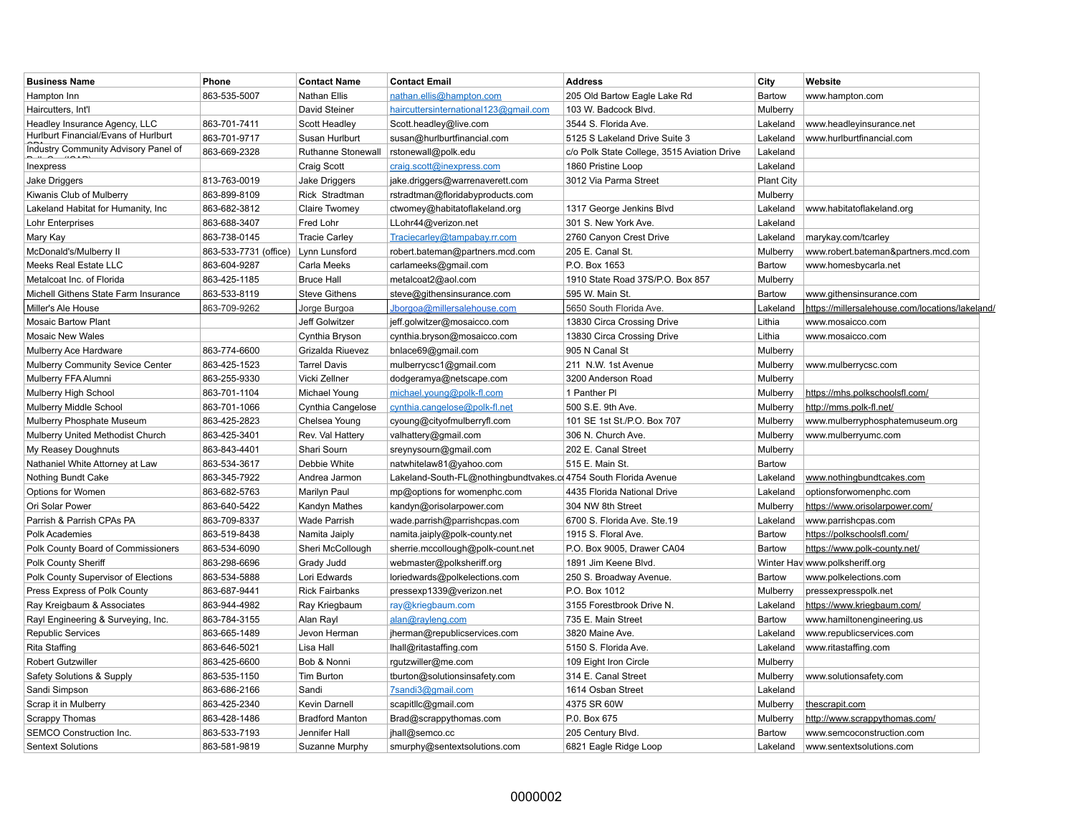| <b>Business Name</b>                 | Phone                 | <b>Contact Name</b>    | <b>Contact Email</b>                                            | <b>Address</b>                              | City              | Website                                         |
|--------------------------------------|-----------------------|------------------------|-----------------------------------------------------------------|---------------------------------------------|-------------------|-------------------------------------------------|
| Hampton Inn                          | 863-535-5007          | <b>Nathan Ellis</b>    | nathan.ellis@hampton.com                                        | 205 Old Bartow Eagle Lake Rd                | Bartow            | www.hampton.com                                 |
| Haircutters, Int'l                   |                       | David Steiner          | haircuttersinternational123@gmail.com                           | 103 W. Badcock Blvd.                        | Mulberry          |                                                 |
| Headley Insurance Agency, LLC        | 863-701-7411          | Scott Headley          | Scott.headley@live.com                                          | 3544 S. Florida Ave.                        | Lakeland          | www.headleyinsurance.net                        |
| Hurlburt Financial/Evans of Hurlburt | 863-701-9717          | Susan Hurlburt         | susan@hurlburtfinancial.com                                     | 5125 S Lakeland Drive Suite 3               | Lakeland          | www.hurlburtfinancial.com                       |
| Industry Community Advisory Panel of | 863-669-2328          | Ruthanne Stonewall     | rstonewall@polk.edu                                             | c/o Polk State College, 3515 Aviation Drive | Lakeland          |                                                 |
| Inexpress                            |                       | Craig Scott            | craig.scott@inexpress.com                                       | 1860 Pristine Loop                          | Lakeland          |                                                 |
| Jake Driggers                        | 813-763-0019          | Jake Driggers          | jake.driggers@warrenaverett.com                                 | 3012 Via Parma Street                       | <b>Plant City</b> |                                                 |
| Kiwanis Club of Mulberry             | 863-899-8109          | Rick Stradtman         | rstradtman@floridabyproducts.com                                |                                             | Mulberry          |                                                 |
| Lakeland Habitat for Humanity, Inc.  | 863-682-3812          | Claire Twomey          | ctwomey@habitatoflakeland.org                                   | 1317 George Jenkins Blvd                    | Lakeland          | www.habitatoflakeland.org                       |
| Lohr Enterprises                     | 863-688-3407          | Fred Lohr              | LLohr44@verizon.net                                             | 301 S. New York Ave.                        | Lakeland          |                                                 |
| Mary Kay                             | 863-738-0145          | <b>Tracie Carley</b>   | Traciecarley@tampabay.rr.com                                    | 2760 Canyon Crest Drive                     | Lakeland          | marykay.com/tcarley                             |
| McDonald's/Mulberry II               | 863-533-7731 (office) | Lynn Lunsford          | robert.bateman@partners.mcd.com                                 | 205 E. Canal St.                            | Mulberry          | www.robert.bateman&partners.mcd.com             |
| Meeks Real Estate LLC                | 863-604-9287          | Carla Meeks            | carlameeks@gmail.com                                            | P.O. Box 1653                               | Bartow            | www.homesbycarla.net                            |
| Metalcoat Inc. of Florida            | 863-425-1185          | <b>Bruce Hall</b>      | metalcoat2@aol.com                                              | 1910 State Road 37S/P.O. Box 857            | Mulberry          |                                                 |
| Michell Githens State Farm Insurance | 863-533-8119          | <b>Steve Githens</b>   | steve@githensinsurance.com                                      | 595 W. Main St                              | Bartow            | www.githensinsurance.com                        |
| Miller's Ale House                   | 863-709-9262          | Jorge Burgoa           | Jborgoa@millersalehouse.com                                     | 5650 South Florida Ave.                     | Lakeland          | https://millersalehouse.com/locations/lakeland/ |
| <b>Mosaic Bartow Plant</b>           |                       | Jeff Golwitzer         | jeff.golwitzer@mosaicco.com                                     | 13830 Circa Crossing Drive                  | Lithia            | www.mosaicco.com                                |
| <b>Mosaic New Wales</b>              |                       | Cynthia Bryson         | cynthia.bryson@mosaicco.com                                     | 13830 Circa Crossing Drive                  | Lithia            | www.mosaicco.com                                |
| Mulberry Ace Hardware                | 863-774-6600          | Grizalda Riuevez       | bnlace69@gmail.com                                              | 905 N Canal St                              | Mulberry          |                                                 |
| Mulberry Community Sevice Center     | 863-425-1523          | <b>Tarrel Davis</b>    | mulberrycsc1@gmail.com                                          | 211 N.W. 1st Avenue                         | Mulberry          | www.mulberrycsc.com                             |
| Mulberry FFA Alumni                  | 863-255-9330          | Vicki Zellner          | dodgeramya@netscape.com                                         | 3200 Anderson Road                          | Mulberry          |                                                 |
| Mulberry High School                 | 863-701-1104          | Michael Young          | michael.young@polk-fl.com                                       | 1 Panther PI                                | Mulberry          | https://mhs.polkschoolsfl.com/                  |
| Mulberry Middle School               | 863-701-1066          | Cynthia Cangelose      | cynthia.cangelose@polk-fl.net                                   | 500 S.E. 9th Ave.                           | Mulberry          | http://mms.polk-fl.net/                         |
| Mulberry Phosphate Museum            | 863-425-2823          | Chelsea Young          | cyoung@cityofmulberryfl.com                                     | 101 SE 1st St./P.O. Box 707                 | Mulberry          | www.mulberryphosphatemuseum.org                 |
| Mulberry United Methodist Church     | 863-425-3401          | Rev. Val Hattery       | valhattery@gmail.com                                            | 306 N. Church Ave.                          | Mulberry          | www.mulberryumc.com                             |
| My Reasey Doughnuts                  | 863-843-4401          | Shari Sourn            | sreynysourn@gmail.com                                           | 202 E. Canal Street                         | Mulberry          |                                                 |
| Nathaniel White Attorney at Law      | 863-534-3617          | Debbie White           | natwhitelaw81@yahoo.com                                         | 515 E. Main St.                             | <b>Bartow</b>     |                                                 |
| Nothing Bundt Cake                   | 863-345-7922          | Andrea Jarmon          | Lakeland-South-FL@nothingbundtvakes.c 4754 South Florida Avenue |                                             | Lakeland          | www.nothingbundtcakes.com                       |
| Options for Women                    | 863-682-5763          | Marilyn Paul           | mp@options for womenphc.com                                     | 4435 Florida National Drive                 | Lakeland          | optionsforwomenphc.com                          |
| Ori Solar Power                      | 863-640-5422          | Kandyn Mathes          | kandyn@orisolarpower.com                                        | 304 NW 8th Street                           | Mulberry          | https://www.orisolarpower.com/                  |
| Parrish & Parrish CPAs PA            | 863-709-8337          | Wade Parrish           | wade.parrish@parrishcpas.com                                    | 6700 S. Florida Ave. Ste.19                 | Lakeland          | www.parrishcpas.com                             |
| Polk Academies                       | 863-519-8438          | Namita Jaiply          | namita.jaiply@polk-county.net                                   | 1915 S. Floral Ave.                         | Bartow            | https://polkschoolsfl.com/                      |
| Polk County Board of Commissioners   | 863-534-6090          | Sheri McCollough       | sherrie.mccollough@polk-count.net                               | P.O. Box 9005, Drawer CA04                  | Bartow            | https://www.polk-county.net/                    |
| Polk County Sheriff                  | 863-298-6696          | Grady Judd             | webmaster@polksheriff.org                                       | 1891 Jim Keene Blvd.                        |                   | Winter Hav www.polksheriff.org                  |
| Polk County Supervisor of Elections  | 863-534-5888          | Lori Edwards           | loriedwards@polkelections.com                                   | 250 S. Broadway Avenue.                     | Bartow            | www.polkelections.com                           |
| Press Express of Polk County         | 863-687-9441          | Rick Fairbanks         | pressexp1339@verizon.net                                        | P.O. Box 1012                               | Mulberry          | pressexpresspolk.net                            |
| Ray Kreigbaum & Associates           | 863-944-4982          | Ray Kriegbaum          | ray@kriegbaum.com                                               | 3155 Forestbrook Drive N.                   | Lakeland          | https://www.kriegbaum.com/                      |
| Rayl Engineering & Surveying, Inc.   | 863-784-3155          | Alan Rayl              | alan@rayleng.com                                                | 735 E. Main Street                          | Bartow            | www.hamiltonengineering.us                      |
| Republic Services                    | 863-665-1489          | Jevon Herman           | jherman@republicservices.com                                    | 3820 Maine Ave.                             | Lakeland          | www.republicservices.com                        |
| <b>Rita Staffing</b>                 | 863-646-5021          | Lisa Hall              | Ihall@ritastaffing.com                                          | 5150 S. Florida Ave.                        | Lakeland          | www.ritastaffing.com                            |
| <b>Robert Gutzwiller</b>             | 863-425-6600          | Bob & Nonni            | rgutzwiller@me.com                                              | 109 Eight Iron Circle                       | Mulberry          |                                                 |
| Safety Solutions & Supply            | 863-535-1150          | <b>Tim Burton</b>      | tburton@solutionsinsafety.com                                   | 314 E. Canal Street                         | Mulberry          | www.solutionsafety.com                          |
| Sandi Simpson                        | 863-686-2166          | Sandi                  | 7sandi3@gmail.com                                               | 1614 Osban Street                           | Lakeland          |                                                 |
| Scrap it in Mulberry                 | 863-425-2340          | Kevin Darnell          | scapitllc@gmail.com                                             | 4375 SR 60W                                 | Mulberry          | thescrapit.com                                  |
| Scrappy Thomas                       | 863-428-1486          | <b>Bradford Manton</b> | Brad@scrappythomas.com                                          | P.0. Box 675                                | Mulberry          | http://www.scrappythomas.com/                   |
| SEMCO Construction Inc.              | 863-533-7193          | Jennifer Hall          | jhall@semco.cc                                                  | 205 Century Blvd.                           | Bartow            | www.semcoconstruction.com                       |
| <b>Sentext Solutions</b>             | 863-581-9819          | Suzanne Murphy         | smurphy@sentextsolutions.com                                    | 6821 Eagle Ridge Loop                       | Lakeland          | www.sentextsolutions.com                        |